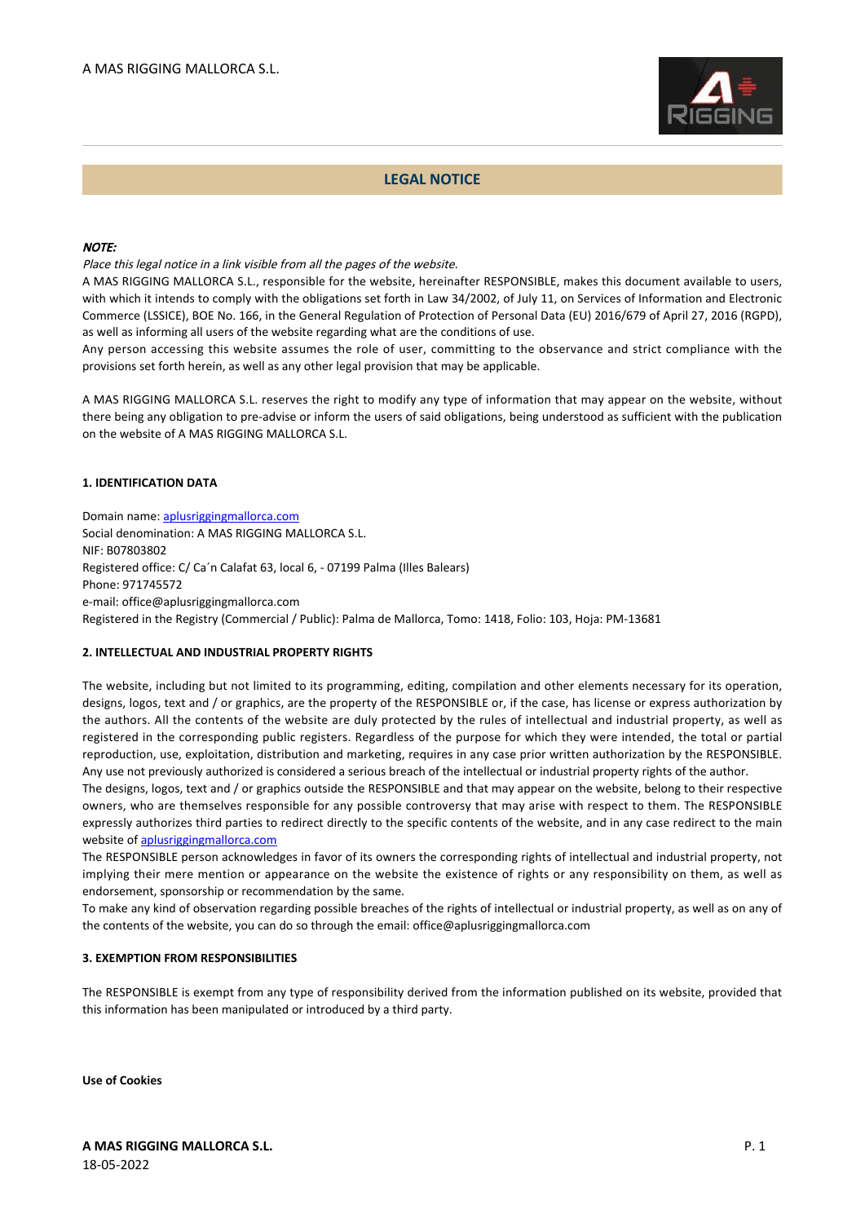

# **LEGAL NOTICE**

### NOTE:

Place this legal notice in a link visible from all the pages of the website.

A MAS RIGGING MALLORCA S.L., responsible for the website, hereinafter RESPONSIBLE, makes this document available to users, with which it intends to comply with the obligations set forth in Law 34/2002, of July 11, on Services of Information and Electronic Commerce (LSSICE), BOE No. 166, in the General Regulation of Protection of Personal Data (EU) 2016/679 of April 27, 2016 (RGPD), as well as informing all users of the website regarding what are the conditions of use.

Any person accessing this website assumes the role of user, committing to the observance and strict compliance with the provisions set forth herein, as well as any other legal provision that may be applicable.

A MAS RIGGING MALLORCA S.L. reserves the right to modify any type of information that may appear on the website, without there being any obligation to pre-advise or inform the users of said obligations, being understood as sufficient with the publication on the website of A MAS RIGGING MALLORCA S.L.

# **1. IDENTIFICATION DATA**

Domain name: [aplusriggingmallorca.com](http://aplusriggingmallorca.com) Social denomination: A MAS RIGGING MALLORCA S.L. NIF: B07803802 Registered office: C/ Ca´n Calafat 63, local 6, - 07199 Palma (Illes Balears) Phone: 971745572 e-mail: office@aplusriggingmallorca.com Registered in the Registry (Commercial / Public): Palma de Mallorca, Tomo: 1418, Folio: 103, Hoja: PM-13681

### **2. INTELLECTUAL AND INDUSTRIAL PROPERTY RIGHTS**

The website, including but not limited to its programming, editing, compilation and other elements necessary for its operation, designs, logos, text and / or graphics, are the property of the RESPONSIBLE or, if the case, has license or express authorization by the authors. All the contents of the website are duly protected by the rules of intellectual and industrial property, as well as registered in the corresponding public registers. Regardless of the purpose for which they were intended, the total or partial reproduction, use, exploitation, distribution and marketing, requires in any case prior written authorization by the RESPONSIBLE. Any use not previously authorized is considered a serious breach of the intellectual or industrial property rights of the author.

The designs, logos, text and / or graphics outside the RESPONSIBLE and that may appear on the website, belong to their respective owners, who are themselves responsible for any possible controversy that may arise with respect to them. The RESPONSIBLE expressly authorizes third parties to redirect directly to the specific contents of the website, and in any case redirect to the main website of [aplusriggingmallorca.com](http://aplusriggingmallorca.com)

The RESPONSIBLE person acknowledges in favor of its owners the corresponding rights of intellectual and industrial property, not implying their mere mention or appearance on the website the existence of rights or any responsibility on them, as well as endorsement, sponsorship or recommendation by the same.

To make any kind of observation regarding possible breaches of the rights of intellectual or industrial property, as well as on any of the contents of the website, you can do so through the email: office@aplusriggingmallorca.com

### **3. EXEMPTION FROM RESPONSIBILITIES**

The RESPONSIBLE is exempt from any type of responsibility derived from the information published on its website, provided that this information has been manipulated or introduced by a third party.

**Use of Cookies**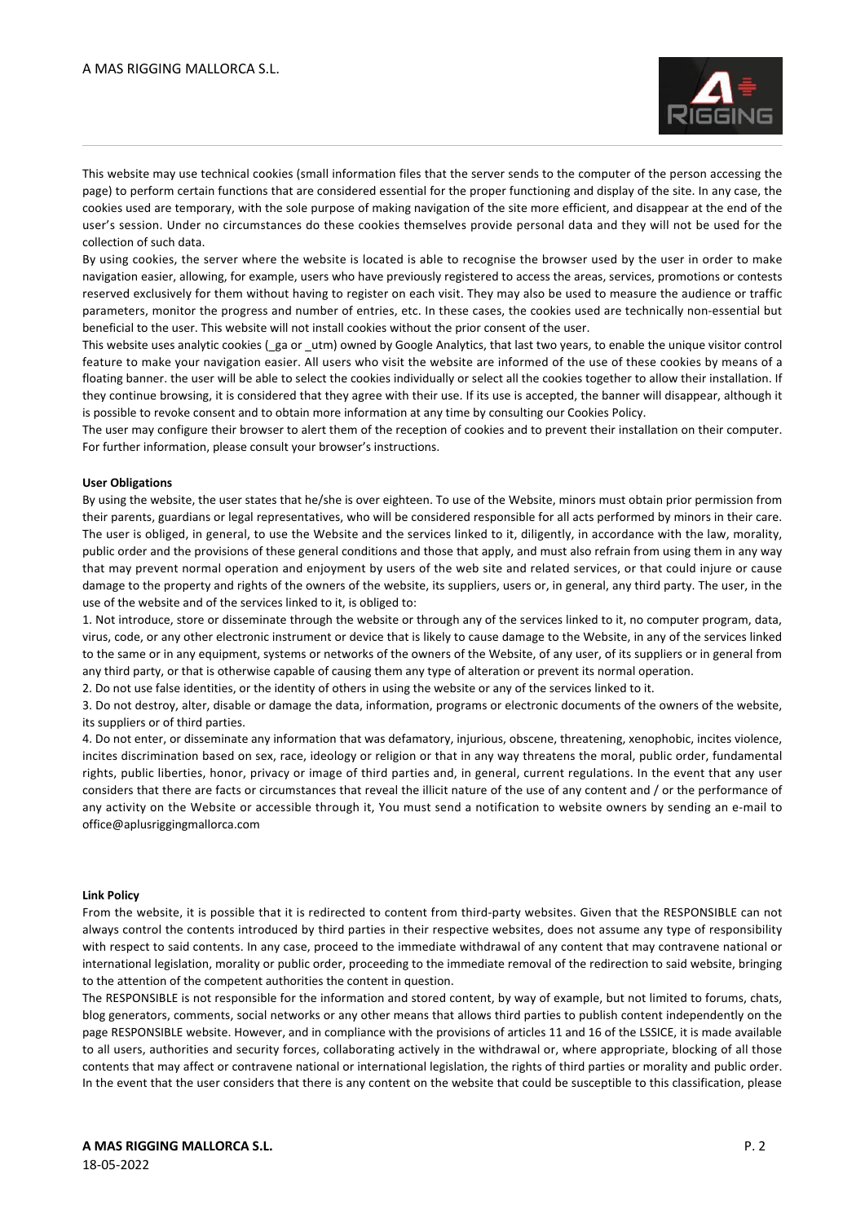

This website may use technical cookies (small information files that the server sends to the computer of the person accessing the page) to perform certain functions that are considered essential for the proper functioning and display of the site. In any case, the cookies used are temporary, with the sole purpose of making navigation of the site more efficient, and disappear at the end of the user's session. Under no circumstances do these cookies themselves provide personal data and they will not be used for the collection of such data.

By using cookies, the server where the website is located is able to recognise the browser used by the user in order to make navigation easier, allowing, for example, users who have previously registered to access the areas, services, promotions or contests reserved exclusively for them without having to register on each visit. They may also be used to measure the audience or traffic parameters, monitor the progress and number of entries, etc. In these cases, the cookies used are technically non-essential but beneficial to the user. This website will not install cookies without the prior consent of the user.

This website uses analytic cookies (ga or utm) owned by Google Analytics, that last two years, to enable the unique visitor control feature to make your navigation easier. All users who visit the website are informed of the use of these cookies by means of a floating banner. the user will be able to select the cookies individually or select all the cookies together to allow their installation. If they continue browsing, it is considered that they agree with their use. If its use is accepted, the banner will disappear, although it is possible to revoke consent and to obtain more information at any time by consulting our Cookies Policy.

The user may configure their browser to alert them of the reception of cookies and to prevent their installation on their computer. For further information, please consult your browser's instructions.

#### **User Obligations**

By using the website, the user states that he/she is over eighteen. To use of the Website, minors must obtain prior permission from their parents, guardians or legal representatives, who will be considered responsible for all acts performed by minors in their care. The user is obliged, in general, to use the Website and the services linked to it, diligently, in accordance with the law, morality, public order and the provisions of these general conditions and those that apply, and must also refrain from using them in any way that may prevent normal operation and enjoyment by users of the web site and related services, or that could injure or cause damage to the property and rights of the owners of the website, its suppliers, users or, in general, any third party. The user, in the use of the website and of the services linked to it, is obliged to:

1. Not introduce, store or disseminate through the website or through any of the services linked to it, no computer program, data, virus, code, or any other electronic instrument or device that is likely to cause damage to the Website, in any of the services linked to the same or in any equipment, systems or networks of the owners of the Website, of any user, of its suppliers or in general from any third party, or that is otherwise capable of causing them any type of alteration or prevent its normal operation.

2. Do not use false identities, or the identity of others in using the website or any of the services linked to it.

3. Do not destroy, alter, disable or damage the data, information, programs or electronic documents of the owners of the website, its suppliers or of third parties.

4. Do not enter, or disseminate any information that was defamatory, injurious, obscene, threatening, xenophobic, incites violence, incites discrimination based on sex, race, ideology or religion or that in any way threatens the moral, public order, fundamental rights, public liberties, honor, privacy or image of third parties and, in general, current regulations. In the event that any user considers that there are facts or circumstances that reveal the illicit nature of the use of any content and / or the performance of any activity on the Website or accessible through it, You must send a notification to website owners by sending an e-mail to office@aplusriggingmallorca.com

#### **Link Policy**

From the website, it is possible that it is redirected to content from third-party websites. Given that the RESPONSIBLE can not always control the contents introduced by third parties in their respective websites, does not assume any type of responsibility with respect to said contents. In any case, proceed to the immediate withdrawal of any content that may contravene national or international legislation, morality or public order, proceeding to the immediate removal of the redirection to said website, bringing to the attention of the competent authorities the content in question.

The RESPONSIBLE is not responsible for the information and stored content, by way of example, but not limited to forums, chats, blog generators, comments, social networks or any other means that allows third parties to publish content independently on the page RESPONSIBLE website. However, and in compliance with the provisions of articles 11 and 16 of the LSSICE, it is made available to all users, authorities and security forces, collaborating actively in the withdrawal or, where appropriate, blocking of all those contents that may affect or contravene national or international legislation, the rights of third parties or morality and public order. In the event that the user considers that there is any content on the website that could be susceptible to this classification, please